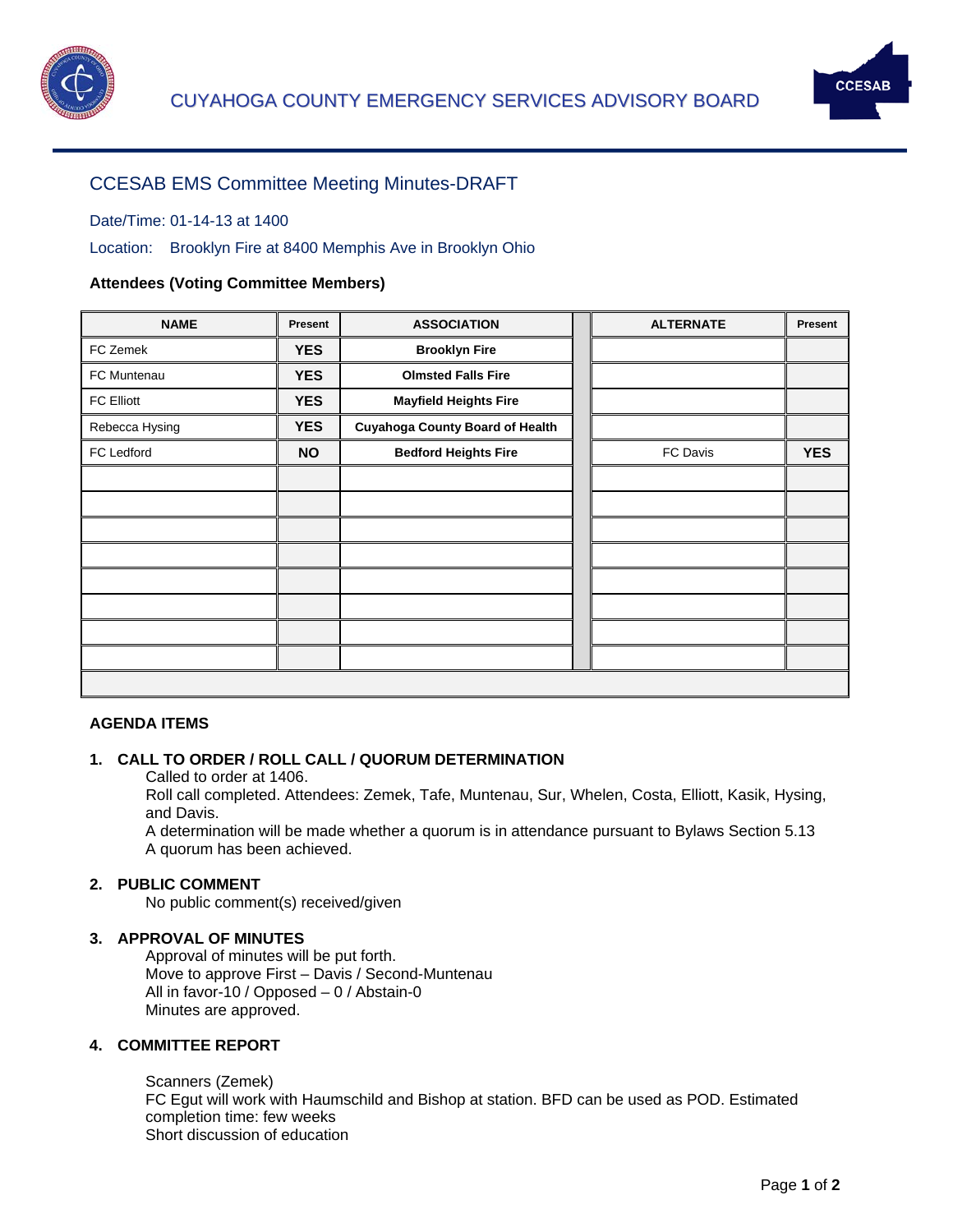



# CCESAB EMS Committee Meeting Minutes-DRAFT

# Date/Time: 01-14-13 at 1400

Location: Brooklyn Fire at 8400 Memphis Ave in Brooklyn Ohio

# **Attendees (Voting Committee Members)**

| <b>NAME</b>    | Present    | <b>ASSOCIATION</b>                     | <b>ALTERNATE</b> | <b>Present</b> |
|----------------|------------|----------------------------------------|------------------|----------------|
| FC Zemek       | <b>YES</b> | <b>Brooklyn Fire</b>                   |                  |                |
| FC Muntenau    | <b>YES</b> | <b>Olmsted Falls Fire</b>              |                  |                |
| FC Elliott     | <b>YES</b> | <b>Mayfield Heights Fire</b>           |                  |                |
| Rebecca Hysing | <b>YES</b> | <b>Cuyahoga County Board of Health</b> |                  |                |
| FC Ledford     | <b>NO</b>  | <b>Bedford Heights Fire</b>            | FC Davis         | <b>YES</b>     |
|                |            |                                        |                  |                |
|                |            |                                        |                  |                |
|                |            |                                        |                  |                |
|                |            |                                        |                  |                |
|                |            |                                        |                  |                |
|                |            |                                        |                  |                |
|                |            |                                        |                  |                |
|                |            |                                        |                  |                |
|                |            |                                        |                  |                |

#### **AGENDA ITEMS**

#### **1. CALL TO ORDER / ROLL CALL / QUORUM DETERMINATION**

Called to order at 1406.

Roll call completed. Attendees: Zemek, Tafe, Muntenau, Sur, Whelen, Costa, Elliott, Kasik, Hysing, and Davis.

A determination will be made whether a quorum is in attendance pursuant to Bylaws Section 5.13 A quorum has been achieved.

# **2. PUBLIC COMMENT**

No public comment(s) received/given

#### **3. APPROVAL OF MINUTES**

Approval of minutes will be put forth. Move to approve First – Davis / Second-Muntenau All in favor-10 / Opposed – 0 / Abstain-0 Minutes are approved.

## **4. COMMITTEE REPORT**

Scanners (Zemek) FC Egut will work with Haumschild and Bishop at station. BFD can be used as POD. Estimated completion time: few weeks Short discussion of education